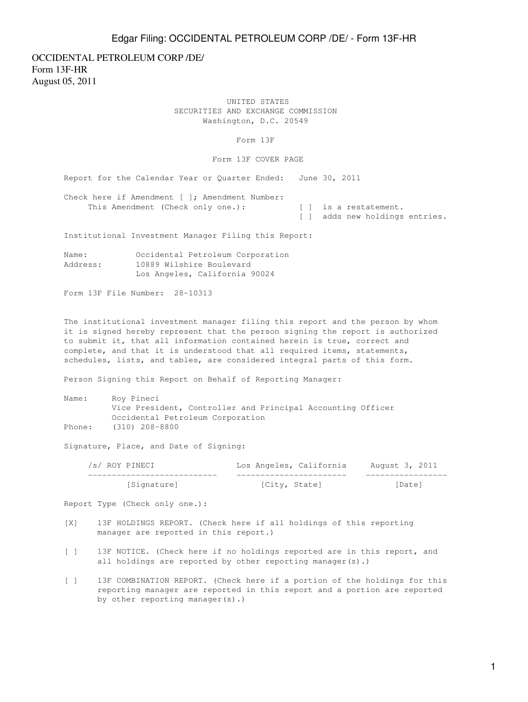## Edgar Filing: OCCIDENTAL PETROLEUM CORP /DE/ - Form 13F-HR

OCCIDENTAL PETROLEUM CORP /DE/ Form 13F-HR August 05, 2011

> UNITED STATES SECURITIES AND EXCHANGE COMMISSION Washington, D.C. 20549

> > Form 13F

Form 13F COVER PAGE

Report for the Calendar Year or Quarter Ended: June 30, 2011

Check here if Amendment [ ]; Amendment Number: This Amendment (Check only one.): [ ] is a restatement. [ ] adds new holdings entries.

Institutional Investment Manager Filing this Report:

Name: Occidental Petroleum Corporation Address: 10889 Wilshire Boulevard Los Angeles, California 90024

Form 13F File Number: 28-10313

The institutional investment manager filing this report and the person by whom it is signed hereby represent that the person signing the report is authorized to submit it, that all information contained herein is true, correct and complete, and that it is understood that all required items, statements, schedules, lists, and tables, are considered integral parts of this form.

Person Signing this Report on Behalf of Reporting Manager:

| Name:  | Roy Pineci                                                  |
|--------|-------------------------------------------------------------|
|        | Vice President, Controller and Principal Accounting Officer |
|        | Occidental Petroleum Corporation                            |
| Phone: | (310) 208-8800                                              |

Signature, Place, and Date of Signing:

| /s/ ROY PINECI | Los Angeles, California | August 3, 2011 |
|----------------|-------------------------|----------------|
|                |                         |                |
| [Signature]    | [City, State]           | [Date]         |

Report Type (Check only one.):

- [X] 13F HOLDINGS REPORT. (Check here if all holdings of this reporting manager are reported in this report.)
- [ ] 13F NOTICE. (Check here if no holdings reported are in this report, and all holdings are reported by other reporting manager(s).)
- [ ] 13F COMBINATION REPORT. (Check here if a portion of the holdings for this reporting manager are reported in this report and a portion are reported by other reporting manager(s).)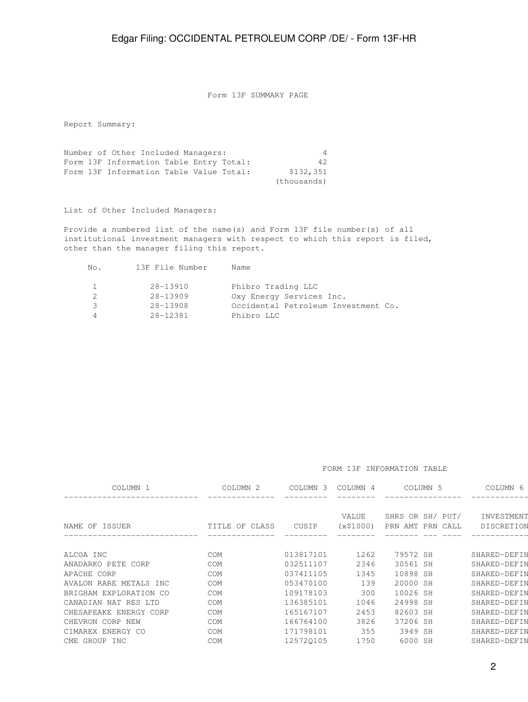Form 13F SUMMARY PAGE

Report Summary:

Number of Other Included Managers: 4 Form 13F Information Table Entry Total: 42 Form 13F Information Table Value Total: \$132,351 (thousands)

List of Other Included Managers:

Provide a numbered list of the name(s) and Form 13F file number(s) of all institutional investment managers with respect to which this report is filed, other than the manager filing this report.

| No.           | 13F File Number | Name                                |
|---------------|-----------------|-------------------------------------|
| 1             | 28-13910        | Phibro Trading LLC                  |
| $\mathcal{L}$ | 28-13909        | Oxy Energy Services Inc.            |
| 3             | $28 - 13908$    | Occidental Petroleum Investment Co. |
| Δ             | $28 - 12381$    | Phibro LLC                          |

FORM 13F INFORMATION TABLE

| COLUMN <sub>1</sub>    | COLUMN <sub>2</sub> | COLUMN <sub>3</sub> | COLUMN 4           | COLUMN <sub>5</sub>                  | COLUMN 6                 |
|------------------------|---------------------|---------------------|--------------------|--------------------------------------|--------------------------|
| NAME OF ISSUER         | TITLE OF CLASS      | CUSIP               | VALUE<br>(x\$1000) | SHRS OR SH/ PUT/<br>PRN AMT PRN CALL | INVESTMENT<br>DISCRETION |
|                        |                     |                     |                    |                                      |                          |
| ALCOA INC              | <b>COM</b>          | 013817101           | 1262               | 79572 SH                             | SHARED-DEFIN             |
| ANADARKO PETE CORP     | <b>COM</b>          | 032511107           | 2346               | 30561 SH                             | SHARED-DEFIN             |
| APACHE CORP            | <b>COM</b>          | 037411105           | 1345               | 10898 SH                             | SHARED-DEFIN             |
| AVALON RARE METALS INC | <b>COM</b>          | 053470100           | 139                | 20000 SH                             | SHARED-DEFIN             |
| BRIGHAM EXPLORATION CO | <b>COM</b>          | 109178103           | 300                | 10026 SH                             | SHARED-DEFIN             |
| CANADIAN NAT RES LTD   | <b>COM</b>          | 136385101           | 1046               | 24998 SH                             | SHARED-DEFIN             |
| CHESAPEAKE ENERGY CORP | <b>COM</b>          | 165167107           | 2453               | 82603 SH                             | SHARED-DEFIN             |
| CHEVRON CORP NEW       | <b>COM</b>          | 166764100           | 3826               | 37206 SH                             | SHARED-DEFIN             |
| CIMAREX ENERGY CO      | <b>COM</b>          | 171798101           | 355                | 3949 SH                              | SHARED-DEFIN             |
| CME GROUP INC          | COM                 | 125720105           | 1750               | 6000 SH                              | SHARED-DEFIN             |
|                        |                     |                     |                    |                                      |                          |